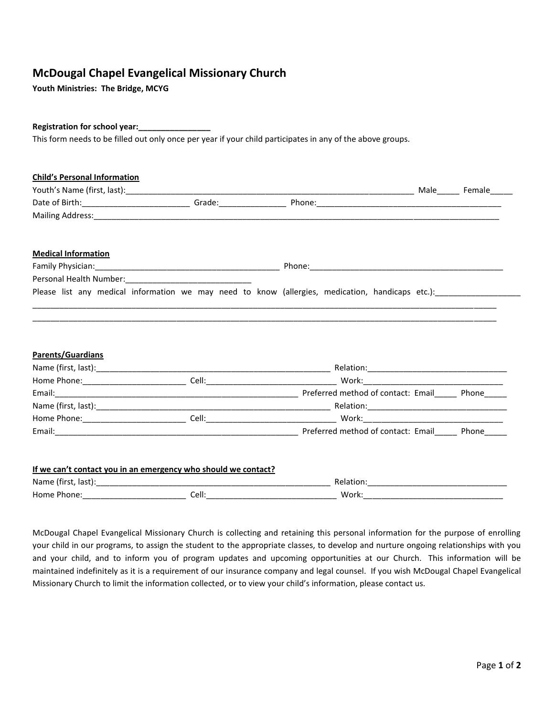## **McDougal Chapel Evangelical Missionary Church**

**Youth Ministries: The Bridge, MCYG** 

## **Registration for school year:\_\_\_\_\_\_\_\_\_\_\_\_\_\_\_\_**

This form needs to be filled out only once per year if your child participates in any of the above groups.

| <b>Child's Personal Information</b>                                                                            |  |  |  |  |
|----------------------------------------------------------------------------------------------------------------|--|--|--|--|
|                                                                                                                |  |  |  |  |
|                                                                                                                |  |  |  |  |
|                                                                                                                |  |  |  |  |
| <b>Medical Information</b>                                                                                     |  |  |  |  |
|                                                                                                                |  |  |  |  |
| Personal Health Number: 1997 - 1997 - 1998 - 1998 - 1999 - 1999 - 1999 - 1999 - 1999 - 1999 - 1999 - 1999 - 1  |  |  |  |  |
| Please list any medical information we may need to know (allergies, medication, handicaps etc.): [14] Please L |  |  |  |  |
|                                                                                                                |  |  |  |  |
|                                                                                                                |  |  |  |  |
| <b>Parents/Guardians</b>                                                                                       |  |  |  |  |
|                                                                                                                |  |  |  |  |
|                                                                                                                |  |  |  |  |
|                                                                                                                |  |  |  |  |
|                                                                                                                |  |  |  |  |
|                                                                                                                |  |  |  |  |
|                                                                                                                |  |  |  |  |
|                                                                                                                |  |  |  |  |
| If we can't contact you in an emergency who should we contact?                                                 |  |  |  |  |
|                                                                                                                |  |  |  |  |

McDougal Chapel Evangelical Missionary Church is collecting and retaining this personal information for the purpose of enrolling your child in our programs, to assign the student to the appropriate classes, to develop and nurture ongoing relationships with you and your child, and to inform you of program updates and upcoming opportunities at our Church. This information will be maintained indefinitely as it is a requirement of our insurance company and legal counsel. If you wish McDougal Chapel Evangelical Missionary Church to limit the information collected, or to view your child's information, please contact us.